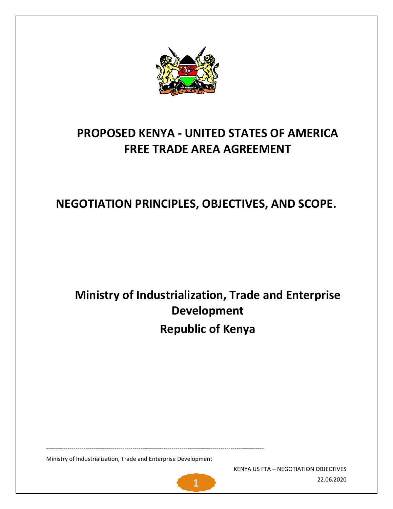

# **PROPOSED KENYA - UNITED STATES OF AMERICA FREE TRADE AREA AGREEMENT**

# **NEGOTIATION PRINCIPLES, OBJECTIVES, AND SCOPE.**

# **Ministry of Industrialization, Trade and Enterprise Development Republic of Kenya**

Ministry of Industrialization, Trade and Enterprise Development

---------------------------------------------------------------------------------------------------------------

KENYA US FTA – NEGOTIATION OBJECTIVES 22.06.2020 **1**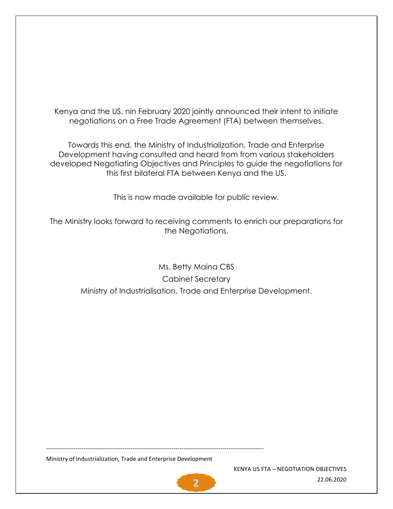Kenya and the US, nin February 2020 jointly announced their intent to initiate negotiations on a Free Trade Agreement (FTA) between themselves.

Towards this end, the Ministry of Industrialization, Trade and Enterprise Development having consulted and heard from from various stakeholders developed Negotiating Objectives and Principles to guide the negotiations for this first bilateral FTA between Kenya and the US.

This is now made available for public review.

The Ministry looks forward to receiving comments to enrich our preparations for the Negotiations.

Ms. Betty Maina CBS Cabinet Secretary Ministry of Industrialisation, Trade and Enterprise Development.

Ministry of Industrialization, Trade and Enterprise Development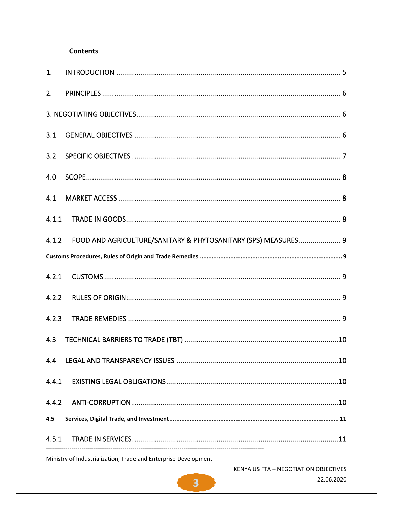# **Contents**

| 1.    |                                                                |  |
|-------|----------------------------------------------------------------|--|
| 2.    |                                                                |  |
|       |                                                                |  |
| 3.1   |                                                                |  |
| 3.2   |                                                                |  |
| 4.0   |                                                                |  |
| 4.1   |                                                                |  |
| 4.1.1 |                                                                |  |
| 4.1.2 | FOOD AND AGRICULTURE/SANITARY & PHYTOSANITARY (SPS) MEASURES 9 |  |
|       |                                                                |  |
| 4.2.1 |                                                                |  |
| 4.2.2 |                                                                |  |
| 4.2.3 |                                                                |  |
| 4.3   |                                                                |  |
| 4.4   |                                                                |  |
| 4.4.1 |                                                                |  |
| 4.4.2 |                                                                |  |
| 4.5   |                                                                |  |
| 4.5.1 |                                                                |  |

Ministry of Industrialization, Trade and Enterprise Development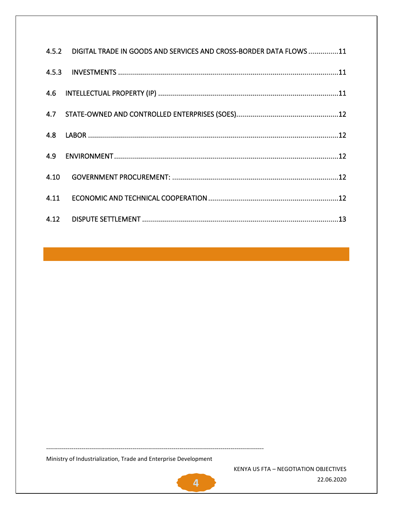|      | 4.5.2 DIGITAL TRADE IN GOODS AND SERVICES AND CROSS-BORDER DATA FLOWS 11 |
|------|--------------------------------------------------------------------------|
|      |                                                                          |
|      |                                                                          |
|      |                                                                          |
|      |                                                                          |
|      |                                                                          |
| 4.10 |                                                                          |
| 4.11 |                                                                          |
|      |                                                                          |

Ministry of Industrialization, Trade and Enterprise Development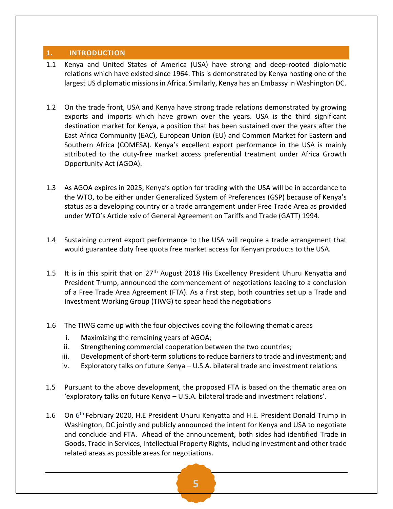#### <span id="page-4-0"></span>**1. INTRODUCTION**

- 1.1 Kenya and United States of America (USA) have strong and deep-rooted diplomatic relations which have existed since 1964. This is demonstrated by Kenya hosting one of the largest US diplomatic missions in Africa. Similarly, Kenya has an Embassy in Washington DC.
- 1.2 On the trade front, USA and Kenya have strong trade relations demonstrated by growing exports and imports which have grown over the years. USA is the third significant destination market for Kenya, a position that has been sustained over the years after the East Africa Community (EAC), European Union (EU) and Common Market for Eastern and Southern Africa (COMESA). Kenya's excellent export performance in the USA is mainly attributed to the duty-free market access preferential treatment under Africa Growth Opportunity Act (AGOA).
- 1.3 As AGOA expires in 2025, Kenya's option for trading with the USA will be in accordance to the WTO, to be either under Generalized System of Preferences (GSP) because of Kenya's status as a developing country or a trade arrangement under Free Trade Area as provided under WTO's Article xxiv of General Agreement on Tariffs and Trade (GATT) 1994.
- 1.4 Sustaining current export performance to the USA will require a trade arrangement that would guarantee duty free quota free market access for Kenyan products to the USA.
- 1.5 It is in this spirit that on  $27<sup>th</sup>$  August 2018 His Excellency President Uhuru Kenyatta and President Trump, announced the commencement of negotiations leading to a conclusion of a Free Trade Area Agreement (FTA). As a first step, both countries set up a Trade and Investment Working Group (TIWG) to spear head the negotiations
- 1.6 The TIWG came up with the four objectives coving the following thematic areas
	- i. Maximizing the remaining years of AGOA;
	- ii. Strengthening commercial cooperation between the two countries;
	- iii. Development of short-term solutions to reduce barriers to trade and investment; and
	- iv. Exploratory talks on future Kenya U.S.A. bilateral trade and investment relations
- 1.5 Pursuant to the above development, the proposed FTA is based on the thematic area on 'exploratory talks on future Kenya – U.S.A. bilateral trade and investment relations'.
- 1.6 On 6<sup>th</sup> February 2020, H.E President Uhuru Kenyatta and H.E. President Donald Trump in Washington, DC jointly and publicly announced the intent for Kenya and USA to negotiate and conclude and FTA. Ahead of the announcement, both sides had identified Trade in Goods, Trade in Services, Intellectual Property Rights, including investment and other trade related areas as possible areas for negotiations.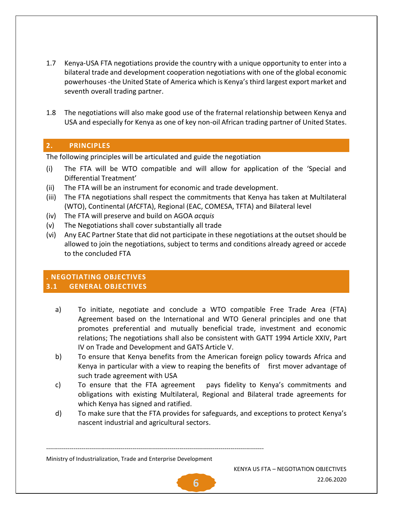- 1.7 Kenya-USA FTA negotiations provide the country with a unique opportunity to enter into a bilateral trade and development cooperation negotiations with one of the global economic powerhouses -the United State of America which is Kenya's third largest export market and seventh overall trading partner.
- 1.8 The negotiations will also make good use of the fraternal relationship between Kenya and USA and especially for Kenya as one of key non-oil African trading partner of United States.

# <span id="page-5-0"></span>**2. PRINCIPLES**

The following principles will be articulated and guide the negotiation

- (i) The FTA will be WTO compatible and will allow for application of the 'Special and Differential Treatment'
- (ii) The FTA will be an instrument for economic and trade development.
- (iii) The FTA negotiations shall respect the commitments that Kenya has taken at Multilateral (WTO), Continental (AfCFTA), Regional (EAC, COMESA, TFTA) and Bilateral level
- (iv) The FTA will preserve and build on AGOA *acquis*
- (v) The Negotiations shall cover substantially all trade
- (vi) Any EAC Partner State that did not participate in these negotiations at the outset should be allowed to join the negotiations, subject to terms and conditions already agreed or accede to the concluded FTA

# <span id="page-5-2"></span><span id="page-5-1"></span>**. NEGOTIATING OBJECTIVES 3.1 GENERAL OBJECTIVES**

- a) To initiate, negotiate and conclude a WTO compatible Free Trade Area (FTA) Agreement based on the International and WTO General principles and one that promotes preferential and mutually beneficial trade, investment and economic relations; The negotiations shall also be consistent with GATT 1994 Article XXIV, Part IV on Trade and Development and GATS Article V.
- b) To ensure that Kenya benefits from the American foreign policy towards Africa and Kenya in particular with a view to reaping the benefits of first mover advantage of such trade agreement with USA
- c) To ensure that the FTA agreement pays fidelity to Kenya's commitments and obligations with existing Multilateral, Regional and Bilateral trade agreements for which Kenya has signed and ratified.
- d) To make sure that the FTA provides for safeguards, and exceptions to protect Kenya's nascent industrial and agricultural sectors.

Ministry of Industrialization, Trade and Enterprise Development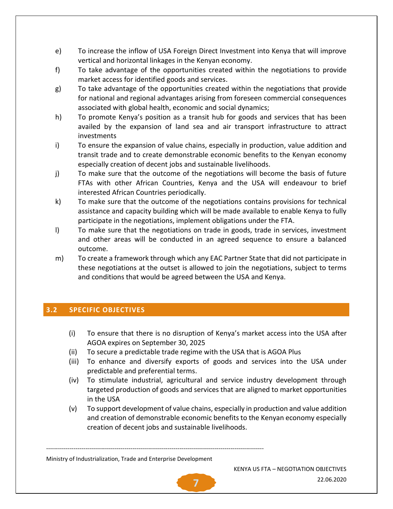- e) To increase the inflow of USA Foreign Direct Investment into Kenya that will improve vertical and horizontal linkages in the Kenyan economy.
- f) To take advantage of the opportunities created within the negotiations to provide market access for identified goods and services.
- g) To take advantage of the opportunities created within the negotiations that provide for national and regional advantages arising from foreseen commercial consequences associated with global health, economic and social dynamics;
- h) To promote Kenya's position as a transit hub for goods and services that has been availed by the expansion of land sea and air transport infrastructure to attract investments
- i) To ensure the expansion of value chains, especially in production, value addition and transit trade and to create demonstrable economic benefits to the Kenyan economy especially creation of decent jobs and sustainable livelihoods.
- j) To make sure that the outcome of the negotiations will become the basis of future FTAs with other African Countries, Kenya and the USA will endeavour to brief interested African Countries periodically.
- k) To make sure that the outcome of the negotiations contains provisions for technical assistance and capacity building which will be made available to enable Kenya to fully participate in the negotiations, implement obligations under the FTA.
- l) To make sure that the negotiations on trade in goods, trade in services, investment and other areas will be conducted in an agreed sequence to ensure a balanced outcome.
- m) To create a framework through which any EAC Partner State that did not participate in these negotiations at the outset is allowed to join the negotiations, subject to terms and conditions that would be agreed between the USA and Kenya.

# <span id="page-6-0"></span>**3.2 SPECIFIC OBJECTIVES**

- (i) To ensure that there is no disruption of Kenya's market access into the USA after AGOA expires on September 30, 2025
- (ii) To secure a predictable trade regime with the USA that is AGOA Plus
- (iii) To enhance and diversify exports of goods and services into the USA under predictable and preferential terms.
- (iv) To stimulate industrial, agricultural and service industry development through targeted production of goods and services that are aligned to market opportunities in the USA
- (v) To support development of value chains, especially in production and value addition and creation of demonstrable economic benefits to the Kenyan economy especially creation of decent jobs and sustainable livelihoods.

Ministry of Industrialization, Trade and Enterprise Development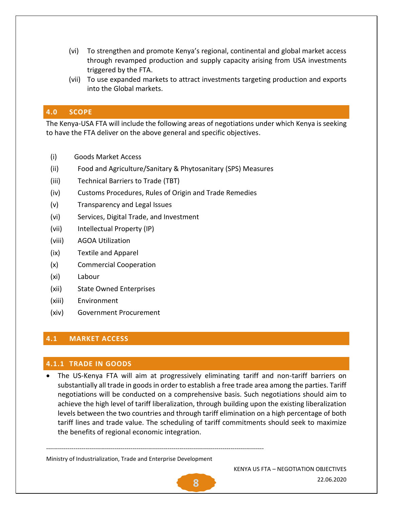- (vi) To strengthen and promote Kenya's regional, continental and global market access through revamped production and supply capacity arising from USA investments triggered by the FTA.
- (vii) To use expanded markets to attract investments targeting production and exports into the Global markets.

#### <span id="page-7-0"></span>**4.0 SCOPE**

The Kenya-USA FTA will include the following areas of negotiations under which Kenya is seeking to have the FTA deliver on the above general and specific objectives.

- (i) Goods Market Access
- (ii) Food and Agriculture/Sanitary & Phytosanitary (SPS) Measures
- (iii) Technical Barriers to Trade (TBT)
- (iv) Customs Procedures, Rules of Origin and Trade Remedies
- (v) Transparency and Legal Issues
- (vi) Services, Digital Trade, and Investment
- (vii) Intellectual Property (IP)
- (viii) AGOA Utilization
- (ix) Textile and Apparel
- (x) Commercial Cooperation
- (xi) Labour
- (xii) State Owned Enterprises
- (xiii) Environment
- (xiv) Government Procurement

#### <span id="page-7-1"></span>**4.1 MARKET ACCESS**

#### <span id="page-7-2"></span>**4.1.1 TRADE IN GOODS**

• The US-Kenya FTA will aim at progressively eliminating tariff and non-tariff barriers on substantially all trade in goods in order to establish a free trade area among the parties. Tariff negotiations will be conducted on a comprehensive basis. Such negotiations should aim to achieve the high level of tariff liberalization, through building upon the existing liberalization levels between the two countries and through tariff elimination on a high percentage of both tariff lines and trade value. The scheduling of tariff commitments should seek to maximize the benefits of regional economic integration.

Ministry of Industrialization, Trade and Enterprise Development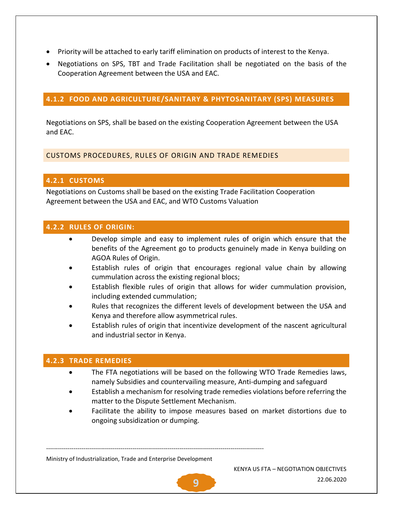- Priority will be attached to early tariff elimination on products of interest to the Kenya.
- Negotiations on SPS, TBT and Trade Facilitation shall be negotiated on the basis of the Cooperation Agreement between the USA and EAC.

# <span id="page-8-0"></span>**4.1.2 FOOD AND AGRICULTURE/SANITARY & PHYTOSANITARY (SPS) MEASURES**

Negotiations on SPS, shall be based on the existing Cooperation Agreement between the USA and EAC.

# <span id="page-8-1"></span>CUSTOMS PROCEDURES, RULES OF ORIGIN AND TRADE REMEDIES

# <span id="page-8-2"></span>**4.2.1 CUSTOMS**

Negotiations on Customs shall be based on the existing Trade Facilitation Cooperation Agreement between the USA and EAC, and WTO Customs Valuation

# <span id="page-8-3"></span>**4.2.2 RULES OF ORIGIN:**

- Develop simple and easy to implement rules of origin which ensure that the benefits of the Agreement go to products genuinely made in Kenya building on AGOA Rules of Origin.
- Establish rules of origin that encourages regional value chain by allowing cummulation across the existing regional blocs;
- Establish flexible rules of origin that allows for wider cummulation provision, including extended cummulation;
- Rules that recognizes the different levels of development between the USA and Kenya and therefore allow asymmetrical rules.
- Establish rules of origin that incentivize development of the nascent agricultural and industrial sector in Kenya.

# <span id="page-8-4"></span>**4.2.3 TRADE REMEDIES**

- The FTA negotiations will be based on the following WTO Trade Remedies laws, namely Subsidies and countervailing measure, Anti-dumping and safeguard
- Establish a mechanism for resolving trade remedies violations before referring the matter to the Dispute Settlement Mechanism.
- Facilitate the ability to impose measures based on market distortions due to ongoing subsidization or dumping.

Ministry of Industrialization, Trade and Enterprise Development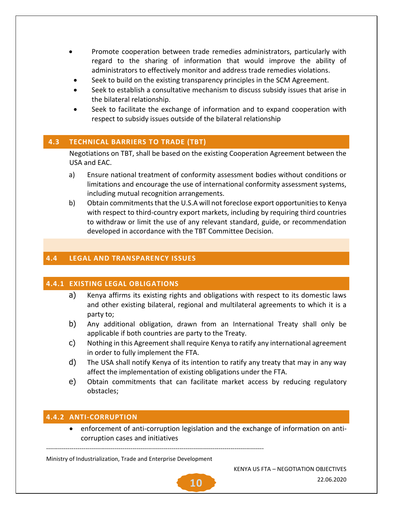- Promote cooperation between trade remedies administrators, particularly with regard to the sharing of information that would improve the ability of administrators to effectively monitor and address trade remedies violations.
	- Seek to build on the existing transparency principles in the SCM Agreement.
- Seek to establish a consultative mechanism to discuss subsidy issues that arise in the bilateral relationship.
- Seek to facilitate the exchange of information and to expand cooperation with respect to subsidy issues outside of the bilateral relationship

#### <span id="page-9-0"></span>**4.3 TECHNICAL BARRIERS TO TRADE (TBT)**

Negotiations on TBT, shall be based on the existing Cooperation Agreement between the USA and EAC.

- a) Ensure national treatment of conformity assessment bodies without conditions or limitations and encourage the use of international conformity assessment systems, including mutual recognition arrangements.
- b) Obtain commitments that the U.S.A will not foreclose export opportunities to Kenya with respect to third-country export markets, including by requiring third countries to withdraw or limit the use of any relevant standard, guide, or recommendation developed in accordance with the TBT Committee Decision.

# <span id="page-9-1"></span>**4.4 LEGAL AND TRANSPARENCY ISSUES**

# <span id="page-9-2"></span>**4.4.1 EXISTING LEGAL OBLIGATIONS**

- a) Kenya affirms its existing rights and obligations with respect to its domestic laws and other existing bilateral, regional and multilateral agreements to which it is a party to;
- b) Any additional obligation, drawn from an International Treaty shall only be applicable if both countries are party to the Treaty.
- c) Nothing in this Agreement shall require Kenya to ratify any international agreement in order to fully implement the FTA.
- d) The USA shall notify Kenya of its intention to ratify any treaty that may in any way affect the implementation of existing obligations under the FTA.
- e) Obtain commitments that can facilitate market access by reducing regulatory obstacles;

# <span id="page-9-3"></span>**4.4.2 ANTI-CORRUPTION**

• enforcement of anti-corruption legislation and the exchange of information on anticorruption cases and initiatives

Ministry of Industrialization, Trade and Enterprise Development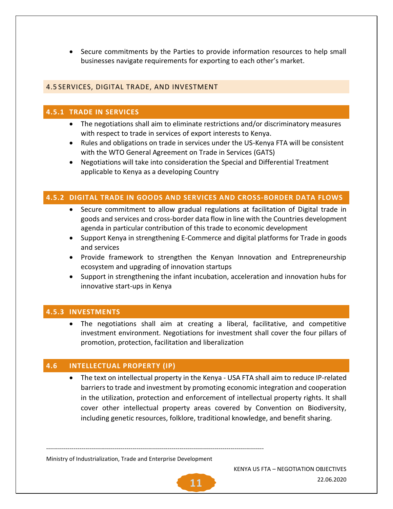• Secure commitments by the Parties to provide information resources to help small businesses navigate requirements for exporting to each other's market.

# <span id="page-10-0"></span>4.5 SERVICES, DIGITAL TRADE, AND INVESTMENT

#### <span id="page-10-1"></span>**4.5.1 TRADE IN SERVICES**

- The negotiations shall aim to eliminate restrictions and/or discriminatory measures with respect to trade in services of export interests to Kenya.
- Rules and obligations on trade in services under the US-Kenya FTA will be consistent with the WTO General Agreement on Trade in Services (GATS)
- Negotiations will take into consideration the Special and Differential Treatment applicable to Kenya as a developing Country

#### <span id="page-10-2"></span>**4.5.2 DIGITAL TRADE IN GOODS AND SERVICES AND CROSS-BORDER DATA FLOWS**

- Secure commitment to allow gradual regulations at facilitation of Digital trade in goods and services and cross-border data flow in line with the Countries development agenda in particular contribution of this trade to economic development
- Support Kenya in strengthening E-Commerce and digital platforms for Trade in goods and services
- Provide framework to strengthen the Kenyan Innovation and Entrepreneurship ecosystem and upgrading of innovation startups
- Support in strengthening the infant incubation, acceleration and innovation hubs for innovative start-ups in Kenya

#### <span id="page-10-3"></span>**4.5.3 INVESTMENTS**

• The negotiations shall aim at creating a liberal, facilitative, and competitive investment environment. Negotiations for investment shall cover the four pillars of promotion, protection, facilitation and liberalization

#### <span id="page-10-4"></span>**4.6 INTELLECTUAL PROPERTY (IP)**

• The text on intellectual property in the Kenya - USA FTA shall aim to reduce IP-related barriers to trade and investment by promoting economic integration and cooperation in the utilization, protection and enforcement of intellectual property rights. It shall cover other intellectual property areas covered by Convention on Biodiversity, including genetic resources, folklore, traditional knowledge, and benefit sharing.

Ministry of Industrialization, Trade and Enterprise Development

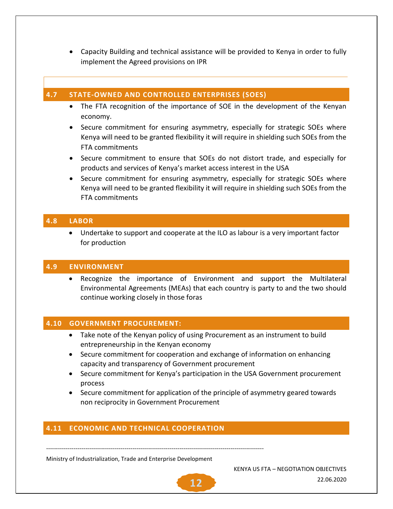• Capacity Building and technical assistance will be provided to Kenya in order to fully implement the Agreed provisions on IPR

#### <span id="page-11-0"></span>**4.7 STATE-OWNED AND CONTROLLED ENTERPRISES (SOES)**

- The FTA recognition of the importance of SOE in the development of the Kenyan economy.
- Secure commitment for ensuring asymmetry, especially for strategic SOEs where Kenya will need to be granted flexibility it will require in shielding such SOEs from the FTA commitments
- Secure commitment to ensure that SOEs do not distort trade, and especially for products and services of Kenya's market access interest in the USA
- Secure commitment for ensuring asymmetry, especially for strategic SOEs where Kenya will need to be granted flexibility it will require in shielding such SOEs from the FTA commitments

#### <span id="page-11-1"></span>**4.8 LABOR**

• Undertake to support and cooperate at the ILO as labour is a very important factor for production

#### <span id="page-11-2"></span>**4.9 ENVIRONMENT**

• Recognize the importance of Environment and support the Multilateral Environmental Agreements (MEAs) that each country is party to and the two should continue working closely in those foras

#### <span id="page-11-3"></span>**4.10 GOVERNMENT PROCUREMENT:**

- Take note of the Kenyan policy of using Procurement as an instrument to build entrepreneurship in the Kenyan economy
- Secure commitment for cooperation and exchange of information on enhancing capacity and transparency of Government procurement
- Secure commitment for Kenya's participation in the USA Government procurement process
- Secure commitment for application of the principle of asymmetry geared towards non reciprocity in Government Procurement

#### <span id="page-11-4"></span>**4.11 ECONOMIC AND TECHNICAL COOPERATION**

---------------------------------------------------------------------------------------------------------------

Ministry of Industrialization, Trade and Enterprise Development